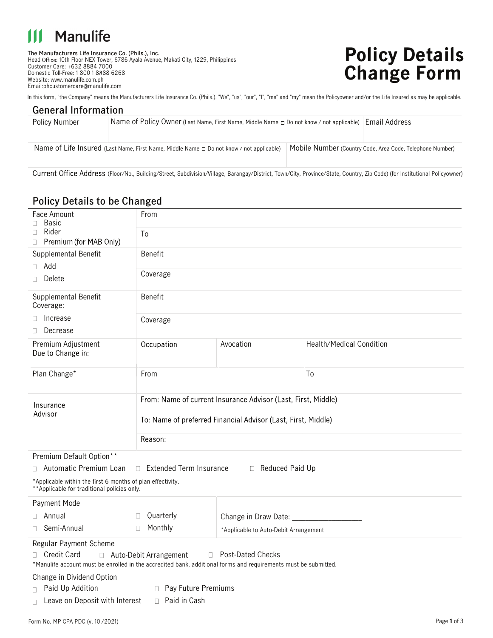## **Manulife**

**The Manufacturers Life Insurance Co. (Phils.), Inc.** Head Office: 10th Floor NEX Tower, 6786 Ayala Avenue, Makati City, 1229, Philippines Customer Care: +632 8884 7000Domestic Toll-Free: 1 800 1 8888 6268 Website: www.manulife.com.ph Email:phcustomercare@manulife.com

Name of Life Insured (Last Name, First Name, Middle Name  $\Box$  Do not know / not applicable)

# **Policy Details Change Form**

Mobile Number (Country Code, Area Code, Telephone Number)

In this form, "the Company" means the Manufacturers Life Insurance Co. (Phils.). "We", "us", "our", "I", "me" and "my" mean the Policyowner and/or the Life Insured as may be applicable.

| Policy Number<br>Name of Policy Owner (Last Name, First Name, Middle Name $\Box$ Do not know / not applicable) Email Address |  |
|------------------------------------------------------------------------------------------------------------------------------|--|

Current Office Address (Floor/No., Building/Street, Subdivision/Village, Barangay/District, Town/City, Province/State, Country, Zip Code) (for Institutional Policyowner)

| <b>Policy Details to be Changed</b>                                                                                                                                                 |                                                                          |                                       |                                 |  |  |  |
|-------------------------------------------------------------------------------------------------------------------------------------------------------------------------------------|--------------------------------------------------------------------------|---------------------------------------|---------------------------------|--|--|--|
| Face Amount<br><b>Basic</b>                                                                                                                                                         | From                                                                     |                                       |                                 |  |  |  |
| П.<br>Rider<br>Π.                                                                                                                                                                   | To                                                                       |                                       |                                 |  |  |  |
| □ Premium (for MAB Only)                                                                                                                                                            |                                                                          |                                       |                                 |  |  |  |
| Supplemental Benefit                                                                                                                                                                | <b>Benefit</b>                                                           |                                       |                                 |  |  |  |
| $\Box$ Add                                                                                                                                                                          |                                                                          |                                       |                                 |  |  |  |
| Delete<br>0                                                                                                                                                                         | Coverage                                                                 |                                       |                                 |  |  |  |
| Supplemental Benefit<br>Coverage:                                                                                                                                                   | <b>Benefit</b>                                                           |                                       |                                 |  |  |  |
| Increase<br>Π.                                                                                                                                                                      | Coverage                                                                 |                                       |                                 |  |  |  |
| Decrease<br>П.                                                                                                                                                                      |                                                                          |                                       |                                 |  |  |  |
| Premium Adjustment<br>Due to Change in:                                                                                                                                             | Occupation                                                               | Avocation                             | <b>Health/Medical Condition</b> |  |  |  |
| Plan Change*                                                                                                                                                                        | From                                                                     |                                       | To                              |  |  |  |
| Insurance                                                                                                                                                                           | From: Name of current Insurance Advisor (Last, First, Middle)            |                                       |                                 |  |  |  |
| Advisor                                                                                                                                                                             | To: Name of preferred Financial Advisor (Last, First, Middle)<br>Reason: |                                       |                                 |  |  |  |
|                                                                                                                                                                                     |                                                                          |                                       |                                 |  |  |  |
| Premium Default Option**                                                                                                                                                            |                                                                          |                                       |                                 |  |  |  |
| □ Automatic Premium Loan<br>□ Extended Term Insurance<br>Reduced Paid Up                                                                                                            |                                                                          |                                       |                                 |  |  |  |
| *Applicable within the first 6 months of plan effectivity.<br>**Applicable for traditional policies only.                                                                           |                                                                          |                                       |                                 |  |  |  |
| Payment Mode                                                                                                                                                                        |                                                                          |                                       |                                 |  |  |  |
| $\Box$ Annual                                                                                                                                                                       | Quarterly<br>$\Box$                                                      | Change in Draw Date:                  |                                 |  |  |  |
| Semi-Annual<br>П.                                                                                                                                                                   | Monthly<br>П.                                                            | *Applicable to Auto-Debit Arrangement |                                 |  |  |  |
| Regular Payment Scheme                                                                                                                                                              |                                                                          |                                       |                                 |  |  |  |
| □ Credit Card<br>□ Post-Dated Checks<br>□ Auto-Debit Arrangement<br>*Manulife account must be enrolled in the accredited bank, additional forms and requirements must be submitted. |                                                                          |                                       |                                 |  |  |  |
| Change in Dividend Option                                                                                                                                                           |                                                                          |                                       |                                 |  |  |  |
| Paid Up Addition<br>□ Pay Future Premiums<br>П.                                                                                                                                     |                                                                          |                                       |                                 |  |  |  |
| □ Paid in Cash<br>Leave on Deposit with Interest<br>П                                                                                                                               |                                                                          |                                       |                                 |  |  |  |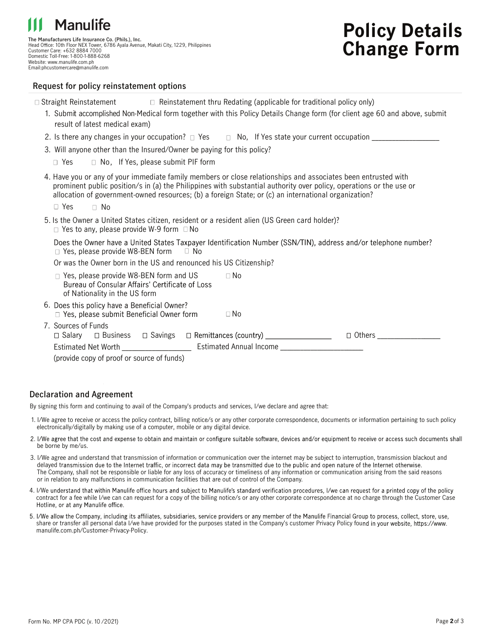

**The Manufacturers Life Insurance Co. (Phils.), Inc.** Head Office: 10th Floor NEX Tower, 6786 Ayala Avenue, Makati City, 1229, Philippines Customer Care: +632 8884 7000 Domestic Toll-Free: 1-800-1-888-6268 Website: www.manulife.com.ph Email:phcustomercare@manulife.com

## **Policy Details Change Form**

#### **Request for policy reinstatement options**

| $\Box$ Reinstatement thru Redating (applicable for traditional policy only)<br>$\Box$ Straight Reinstatement                                                                                                                                                                                                                                 |  |
|----------------------------------------------------------------------------------------------------------------------------------------------------------------------------------------------------------------------------------------------------------------------------------------------------------------------------------------------|--|
| 1. Submit accomplished Non-Medical form together with this Policy Details Change form (for client age 60 and above, submit<br>result of latest medical exam)                                                                                                                                                                                 |  |
|                                                                                                                                                                                                                                                                                                                                              |  |
| 3. Will anyone other than the Insured/Owner be paying for this policy?                                                                                                                                                                                                                                                                       |  |
| $\Box$ No, If Yes, please submit PIF form<br>$\Box$ Yes                                                                                                                                                                                                                                                                                      |  |
| 4. Have you or any of your immediate family members or close relationships and associates been entrusted with<br>prominent public position/s in (a) the Philippines with substantial authority over policy, operations or the use or<br>allocation of government-owned resources; (b) a foreign State; or (c) an international organization? |  |
| $\Box$ Yes<br>$\Box$ No                                                                                                                                                                                                                                                                                                                      |  |
| 5. Is the Owner a United States citizen, resident or a resident alien (US Green card holder)?<br>$\Box$ Yes to any, please provide W-9 form $\Box$ No                                                                                                                                                                                        |  |
| Does the Owner have a United States Taxpayer Identification Number (SSN/TIN), address and/or telephone number?<br>$\Box$ Yes, please provide W8-BEN form<br>⊟ No                                                                                                                                                                             |  |
| Or was the Owner born in the US and renounced his US Citizenship?                                                                                                                                                                                                                                                                            |  |
| □ Yes, please provide W8-BEN form and US<br>$\Box$ No<br>Bureau of Consular Affairs' Certificate of Loss<br>of Nationality in the US form                                                                                                                                                                                                    |  |
| 6. Does this policy have a Beneficial Owner?<br>$\Box$ Yes, please submit Beneficial Owner form<br>$\Box$ No                                                                                                                                                                                                                                 |  |
| 7. Sources of Funds<br>$\Box$ Salary $\Box$ Business $\Box$ Savings $\Box$ Remittances (country) _______________<br>$\Box$ Others                                                                                                                                                                                                            |  |
|                                                                                                                                                                                                                                                                                                                                              |  |
| (provide copy of proof or source of funds)                                                                                                                                                                                                                                                                                                   |  |

#### **Declaration and Agreement**

By signing this form and continuing to avail of the Company's products and services, I/we declare and agree that:

- 1. I/We agree to receive or access the policy contract, billing notice/s or any other corporate correspondence, documents or information pertaining to such policy electronically/digitally by making use of a computer, mobile or any digital device.
- 2. I/We agree that the cost and expense to obtain and maintain or configure suitable software, devices and/or equipment to receive or access such documents shall be borne by me/us.
- 3. I/We agree and understand that transmission of information or communication over the internet may be subject to interruption, transmission blackout and delayed transmission due to the Internet traffic, or incorrect data may be transmitted due to the public and open nature of the Internet otherwise. The Company, shall not be responsible or liable for any loss of accuracy or timeliness of any information or communication arising from the said reasons or in relation to any malfunctions in communication facilities that are out of control of the Company.
- 4. I/We understand that within Manulife office hours and subject to Manulife's standard verification procedures, I/we can request for a printed copy of the policy contract for a fee while I/we can can request for a copy of the billing notice/s or any other corporate correspondence at no charge through the Customer Case<br>Hotline, or at any Manulife office.
- 5. I/We allow the Company, including its affiliates, subsidiaries, service providers or any member of the Manulife Financial Group to process, collect, store, use, share or transfer all personal data I/we have provided for the purposes stated in the Company's customer Privacy Policy found in your website, https://www. manulife.com.ph/Customer-Privacy-Policy.